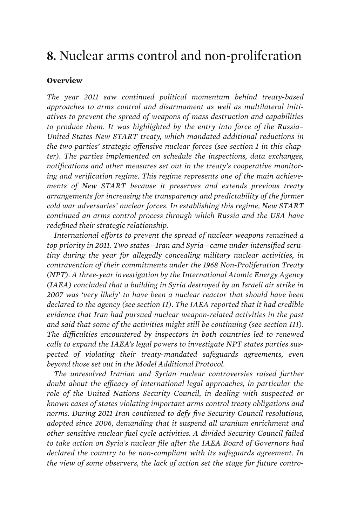## **8.** Nuclear arms control and non-proliferation

## **Overview**

*The year 2011 saw continued political momentum behind treaty-based approaches to arms control and disarmament as well as multilateral initiatives to prevent the spread of weapons of mass destruction and capabilities to produce them. It was highlighted by the entry into force of the Russia– United States New START treaty, which mandated additional reductions in the two parties' strategic offensive nuclear forces (see section I in this chapter). The parties implemented on schedule the inspections, data exchanges, notifications and other measures set out in the treaty's cooperative monitoring and verification regime. This regime represents one of the main achievements of New START because it preserves and extends previous treaty arrangements for increasing the transparency and predictability of the former cold war adversaries' nuclear forces. In establishing this regime, New START continued an arms control process through which Russia and the USA have redefined their strategic relationship.* 

*International efforts to prevent the spread of nuclear weapons remained a top priority in 2011. Two states—Iran and Syria—came under intensified scrutiny during the year for allegedly concealing military nuclear activities, in contravention of their commitments under the 1968 Non-Proliferation Treaty (NPT). A three-year investigation by the International Atomic Energy Agency (IAEA) concluded that a building in Syria destroyed by an Israeli air strike in 2007 was 'very likely' to have been a nuclear reactor that should have been declared to the agency (see section II). The IAEA reported that it had credible evidence that Iran had pursued nuclear weapon-related activities in the past and said that some of the activities might still be continuing (see section III). The difficulties encountered by inspectors in both countries led to renewed calls to expand the IAEA's legal powers to investigate NPT states parties suspected of violating their treaty-mandated safeguards agreements, even beyond those set out in the Model Additional Protocol.* 

*The unresolved Iranian and Syrian nuclear controversies raised further*  doubt about the efficacy of international legal approaches, in particular the role of the United Nations Security Council, in dealing with suspected or *known cases of states violating important arms control treaty obligations and norms. During 2011 Iran continued to defy five Security Council resolutions, adopted since 2006, demanding that it suspend all uranium enrichment and other sensitive nuclear fuel cycle activities. A divided Security Council failed to take action on Syria's nuclear file after the IAEA Board of Governors had declared the country to be non-compliant with its safeguards agreement. In the view of some observers, the lack of action set the stage for future contro-*